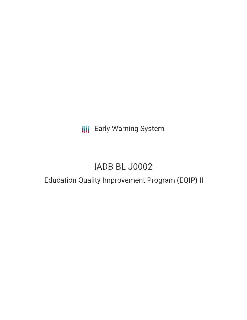**III** Early Warning System

# IADB-BL-J0002

## Education Quality Improvement Program (EQIP) II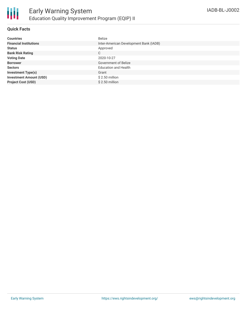

#### **Quick Facts**

| <b>Countries</b>               | <b>Belize</b>                          |
|--------------------------------|----------------------------------------|
| <b>Financial Institutions</b>  | Inter-American Development Bank (IADB) |
| <b>Status</b>                  | Approved                               |
| <b>Bank Risk Rating</b>        | C                                      |
| <b>Voting Date</b>             | 2020-10-27                             |
| <b>Borrower</b>                | <b>Government of Belize</b>            |
| <b>Sectors</b>                 | <b>Education and Health</b>            |
| <b>Investment Type(s)</b>      | Grant                                  |
| <b>Investment Amount (USD)</b> | $$2.50$ million                        |
| <b>Project Cost (USD)</b>      | $$2.50$ million                        |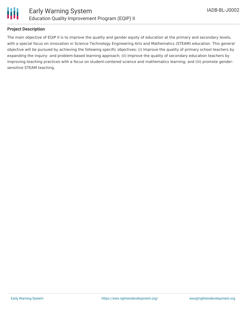

#### **Project Description**

The main objective of EQIP II is to improve the quality and gender equity of education at the primary and secondary levels, with a special focus on innovation in Science Technology Engineering Arts and Mathematics (STEAM) education. This general objective will be pursued by achieving the following specific objectives: (i) Improve the quality of primary school teachers by expanding the inquiry- and problem-based learning approach; (ii) Improve the quality of secondary education teachers by improving teaching practices with a focus on student-centered science and mathematics learning; and (iii) promote gendersensitive STEAM teaching.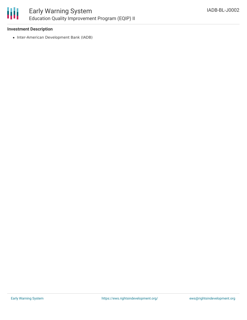

#### **Investment Description**

• Inter-American Development Bank (IADB)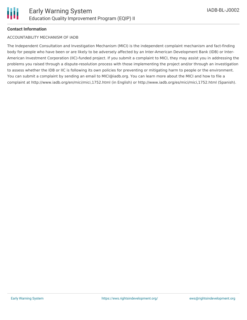

#### **Contact Information**

#### ACCOUNTABILITY MECHANISM OF IADB

The Independent Consultation and Investigation Mechanism (MICI) is the independent complaint mechanism and fact-finding body for people who have been or are likely to be adversely affected by an Inter-American Development Bank (IDB) or Inter-American Investment Corporation (IIC)-funded project. If you submit a complaint to MICI, they may assist you in addressing the problems you raised through a dispute-resolution process with those implementing the project and/or through an investigation to assess whether the IDB or IIC is following its own policies for preventing or mitigating harm to people or the environment. You can submit a complaint by sending an email to MICI@iadb.org. You can learn more about the MICI and how to file a complaint at http://www.iadb.org/en/mici/mici,1752.html (in English) or http://www.iadb.org/es/mici/mici,1752.html (Spanish).